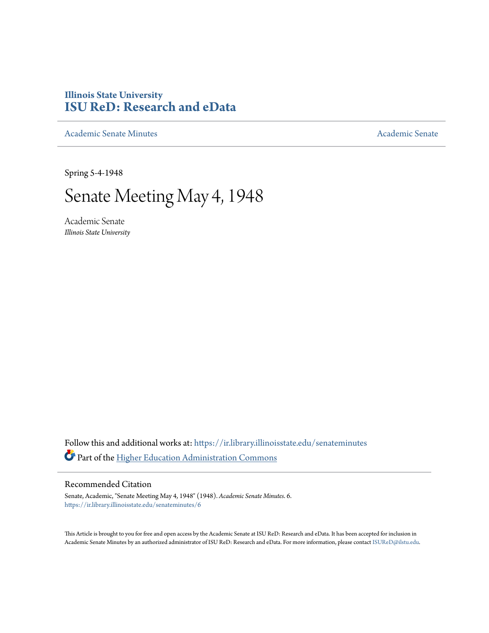## **Illinois State University [ISU ReD: Research and eData](https://ir.library.illinoisstate.edu?utm_source=ir.library.illinoisstate.edu%2Fsenateminutes%2F6&utm_medium=PDF&utm_campaign=PDFCoverPages)**

[Academic Senate Minutes](https://ir.library.illinoisstate.edu/senateminutes?utm_source=ir.library.illinoisstate.edu%2Fsenateminutes%2F6&utm_medium=PDF&utm_campaign=PDFCoverPages) [Academic Senate](https://ir.library.illinoisstate.edu/senate?utm_source=ir.library.illinoisstate.edu%2Fsenateminutes%2F6&utm_medium=PDF&utm_campaign=PDFCoverPages) Academic Senate

Spring 5-4-1948

## Senate Meeting May 4, 1948

Academic Senate *Illinois State University*

Follow this and additional works at: [https://ir.library.illinoisstate.edu/senateminutes](https://ir.library.illinoisstate.edu/senateminutes?utm_source=ir.library.illinoisstate.edu%2Fsenateminutes%2F6&utm_medium=PDF&utm_campaign=PDFCoverPages) Part of the [Higher Education Administration Commons](http://network.bepress.com/hgg/discipline/791?utm_source=ir.library.illinoisstate.edu%2Fsenateminutes%2F6&utm_medium=PDF&utm_campaign=PDFCoverPages)

## Recommended Citation

Senate, Academic, "Senate Meeting May 4, 1948" (1948). *Academic Senate Minutes*. 6. [https://ir.library.illinoisstate.edu/senateminutes/6](https://ir.library.illinoisstate.edu/senateminutes/6?utm_source=ir.library.illinoisstate.edu%2Fsenateminutes%2F6&utm_medium=PDF&utm_campaign=PDFCoverPages)

This Article is brought to you for free and open access by the Academic Senate at ISU ReD: Research and eData. It has been accepted for inclusion in Academic Senate Minutes by an authorized administrator of ISU ReD: Research and eData. For more information, please contact [ISUReD@ilstu.edu.](mailto:ISUReD@ilstu.edu)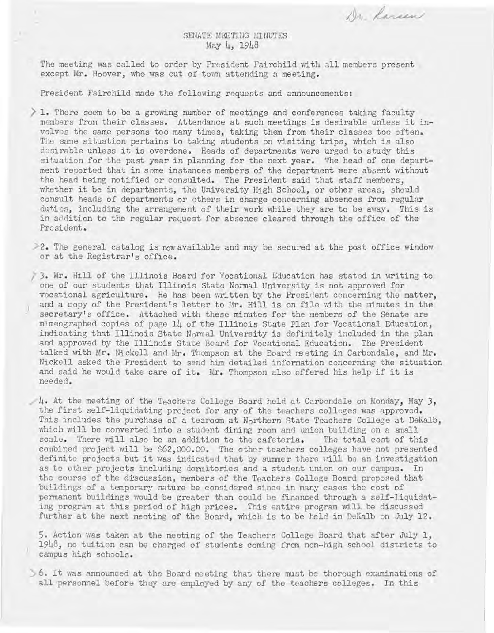Dr. Karsen

## SENATE MEETING MINUTES May 4, 1948

The meeting was called to order by President Pairchild with all members present except Mr. Hoover, who was out of town attending a meeting.

President Fairchild made the following requests and announcements:

- $\geq 1$ . There seem to be a growing number of meetings and conferences taking faculty members from their classes. Attendance at such meetings is desirable unless it involves the same persons too many times, taking them from their classes too often. The same situation pertains to taking students on visiting trips, which is also desirable unless it is overdone. Heads of departments were urged to study this situation for the past year in planning for the next year. The head of one department reported that in some instances members of the department were absent without the head being notified or consulted. The President said that staff members, whether it be in departments, the University High School, or other areas, should consult heads of departments or others in charge concerning absences from regular duties, including the arrangement of their work while they are to be away. This is in addition to the regular request for absence cleared through the office of the President.
- $\geq$  2. The general catalog is now available and may be secured at the post office window or at the Registrar's office.
- 73. Mr. Hill of the Illinois Board for Vocational Education has stated in writing to one of our students that Illinois State Normal University is not approved for vocational agriculture. He has been written by the President concerning the matter, and a copy of the President's letter to Mr. Hill is on file with the minutes in the secretary's office. Attached with these minutes for the members of the Senate are mimeographed copies of page 14 of the Illinois State Plan for Vocational Education, indica ting that Illinois State Normal University is definitely included in the plan and approved by the Illinois State Board for Vocational Education. The President talked with Mr. Nickell and Mr. Thompson at the Board meeting in Carbondale, and Mr. Nickell asked the President to send him detailed information concerning the situation and said he would take care of it. Mr. Thompson also offered his help if it is needed •

4. At the meeting of the Teachers College Board held at Carbondale on Monday, May 3, the first self-liquidating project for any of the teachers colleges was approved. This includes the purchase of a tearoom at Northern state Teachers College at DeKalb, which will be converted into a student dining room and union building on a small scale. There will also be an addition to the cafeteria. The total cost of this combined project will be \$62,000.00. The other teachers colleges have not presented definite projects but it was indicated that by summer there will be an investigation as to other projects including dormitories and a student union on our campus. In the course of the discussion, members of the Teachers College Board proposed that buildings of a temporary nature be considered since in many cases the cost of permanent buildings would be greater than could be financed through a self-liquidating program at this period of high prices. This entire program will be discussed further at the next meeting of the Board, which is to be held in DeKalb on July 12.

5. Action was taken at the meeting of the Teachers College Board that after July 1, 1948, no tuition can be charged of students coming from non-high school districts to campus high schools.

 $>$  6. It was announced at the Board meeting that there must be thorough examinations of all personnel before they are employed by any of the teachers colleges. In this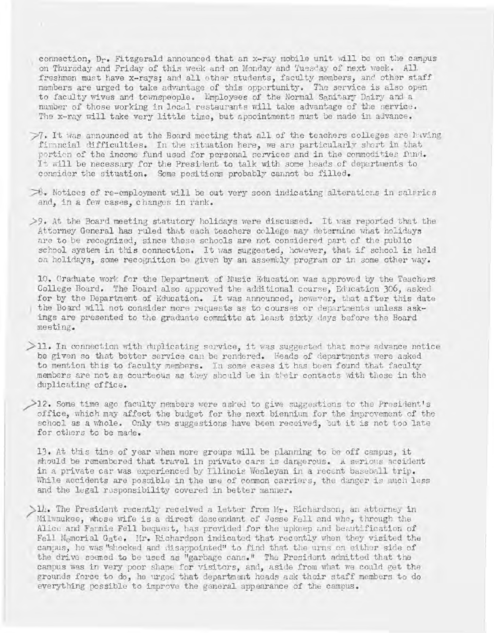connection,  $D_r$ . Fitzgerald announced that an x-ray mobile unit will be on the campus on Thursday and Friday of this week and on Monday and Tuesday of next week. All freshmen must have x-rays; and all other students, faculty members, and other staff members are urged to take advantage of this opportunity. The service is also open to faculty wives and townspeople. Employees of the Normal Sanitary Dairy and a number of those working in local restaurants will take advantage of the service. The x-ray will take very little time, but appointments must be made in advance.

- $\mathcal{P}$ . It was announced at the Board meeting that all of the teachers colleges are huving firancial difficulties. In the situation here, we are particularly short in that portion of the income fund used for personal services and in the commodities fund. It will be necessary for the President to talk with some heads of departments to consider the situation. Some positions probably cannot be filled.
- $\gg$ . Notices of re-employment will be out very soon indicating alterations in salaries and, in a few cases, changes in rank.
- $>9$ . At the Board meeting statutory holidays were discussed. It was reported that the Attorney General has ruled that each teachers college may determine what holidays are to be recognized, since these schools are not considered part of the public school system in this connection. It was suggested, however, that if school is held on holidays, some recognition be given by an assembly program or in some other way.

10. Graduate work for the Department of MUsic Education was approved by the Teachers College Board. The Board also approved the additional course, Education 306, asked for by the Department of Education. It was announced, however, that after this date ) the Board will not consider more requests as to cours es or departments unless askings are presented to the graduate committe at least sixty days before the Board meeting .

 $>$ 11. In connection with duplicating service, it was suggested that more advance notice be given so that better service can be rendered. Heads of departments were asked to mention this to faculty members. In some cases it has been found that faculty members are not as courteous as they should be in their contacts with those in the duplicating office.

 $>$ 12. Some time ago faculty nembers were asked to give suggestions to the President's office, which may affect the budget for the next biennium for the improvement of the school as a whole. Only two suggestions have been received, but it is not too late for others to be made.

13. At this time of year when more groups will be planning to be off campus, it should be remembered that travel in private cars is dangerous. A serious accident in a private car was experienced by Illinois Wesleyan in a recent baseball trip. While accidents are possible in the use of common carriers, the danger is much less and the legal responsibility covered in better manner.

 $>14$ . The President recently received a letter from Mr. Richardson, an attorney in Milwaukee, whose wife is a direct descendant of Jesse Fell and who, through the Alice and Fannie Fell bequest, has provided for the upkeep and beautification of Fell M<sub>e</sub>morial Gate. Hr. Richardson indicated that recently when they visited the campus, he was "shocked and disappointed" to find that the urns on either side of the drive seemed to be used as "garbage cans." The President admitted that the campus was in very poor shape for visitors, and, aside from what we could get the grounds force to do, he urged that department hoads ask their staff members to do everything possible to improve the general appearance of the campus.